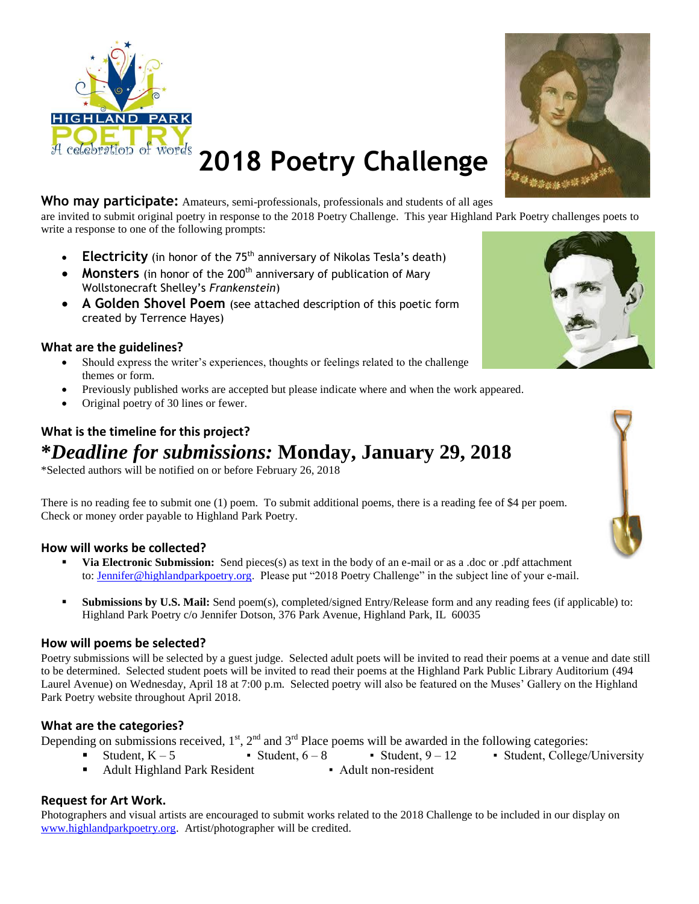



## **2018 Poetry Challenge**

**Who may participate:** Amateurs, semi-professionals, professionals and students of all ages are invited to submit original poetry in response to the 2018 Poetry Challenge. This year Highland Park Poetry challenges poets to write a response to one of the following prompts:

- Electricity (in honor of the 75<sup>th</sup> anniversary of Nikolas Tesla's death)
- **Monsters** (in honor of the 200<sup>th</sup> anniversary of publication of Mary Wollstonecraft Shelley's *Frankenstein*)
- **A Golden Shovel Poem** (see attached description of this poetic form created by Terrence Hayes)

#### **What are the guidelines?**

- Should express the writer's experiences, thoughts or feelings related to the challenge themes or form.
- Previously published works are accepted but please indicate where and when the work appeared.
- Original poetry of 30 lines or fewer.

#### **What is the timeline for this project? \****Deadline for submissions:* **Monday, January 29, 2018**

\*Selected authors will be notified on or before February 26, 2018

There is no reading fee to submit one (1) poem. To submit additional poems, there is a reading fee of \$4 per poem. Check or money order payable to Highland Park Poetry.

#### **How will works be collected?**

- **Via Electronic Submission:** Send pieces(s) as text in the body of an e-mail or as a .doc or .pdf attachment to: [Jennifer@highlandparkpoetry.org.](mailto:Jennifer@highlandparkpoetry.org) Please put "2018 Poetry Challenge" in the subject line of your e-mail.
- **Submissions by U.S. Mail:** Send poem(s), completed/signed Entry/Release form and any reading fees (if applicable) to: Highland Park Poetry c/o Jennifer Dotson, 376 Park Avenue, Highland Park, IL 60035

#### **How will poems be selected?**

Poetry submissions will be selected by a guest judge. Selected adult poets will be invited to read their poems at a venue and date still to be determined. Selected student poets will be invited to read their poems at the Highland Park Public Library Auditorium (494 Laurel Avenue) on Wednesday, April 18 at 7:00 p.m. Selected poetry will also be featured on the Muses' Gallery on the Highland Park Poetry website throughout April 2018.

#### **What are the categories?**

Depending on submissions received,  $1<sup>st</sup>$ ,  $2<sup>nd</sup>$  and  $3<sup>rd</sup>$  Place poems will be awarded in the following categories:

- Student, K 5 Student, 6 8 Student, 9 12 Student, College/University
- Adult Highland Park Resident Adult non-resident

#### **Request for Art Work.**

Photographers and visual artists are encouraged to submit works related to the 2018 Challenge to be included in our display on [www.highlandparkpoetry.org.](http://www.highlandparkpoetry.org/) Artist/photographer will be credited.



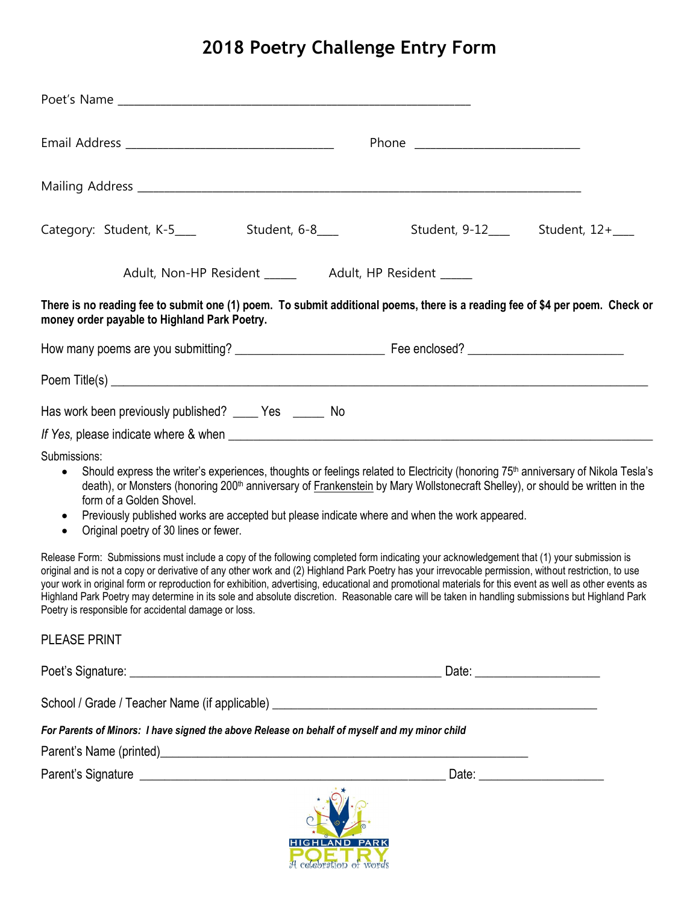## **2018 Poetry Challenge Entry Form**

|                                                                                                                                                                                                              | Student, 9-12____ Student, 12+___                                                                                                                                                                                                                                                                                                                                                                                                                                                                                                                                                                               |
|--------------------------------------------------------------------------------------------------------------------------------------------------------------------------------------------------------------|-----------------------------------------------------------------------------------------------------------------------------------------------------------------------------------------------------------------------------------------------------------------------------------------------------------------------------------------------------------------------------------------------------------------------------------------------------------------------------------------------------------------------------------------------------------------------------------------------------------------|
| Adult, Non-HP Resident ______ Adult, HP Resident _____                                                                                                                                                       |                                                                                                                                                                                                                                                                                                                                                                                                                                                                                                                                                                                                                 |
| money order payable to Highland Park Poetry.                                                                                                                                                                 | There is no reading fee to submit one (1) poem. To submit additional poems, there is a reading fee of \$4 per poem. Check or                                                                                                                                                                                                                                                                                                                                                                                                                                                                                    |
|                                                                                                                                                                                                              |                                                                                                                                                                                                                                                                                                                                                                                                                                                                                                                                                                                                                 |
|                                                                                                                                                                                                              |                                                                                                                                                                                                                                                                                                                                                                                                                                                                                                                                                                                                                 |
| Has work been previously published? _____ Yes ______ No                                                                                                                                                      |                                                                                                                                                                                                                                                                                                                                                                                                                                                                                                                                                                                                                 |
| If Yes, please indicate where & when                                                                                                                                                                         |                                                                                                                                                                                                                                                                                                                                                                                                                                                                                                                                                                                                                 |
| Submissions:<br>$\bullet$<br>form of a Golden Shovel.<br>Previously published works are accepted but please indicate where and when the work appeared.<br>Original poetry of 30 lines or fewer.<br>$\bullet$ | Should express the writer's experiences, thoughts or feelings related to Electricity (honoring 75 <sup>th</sup> anniversary of Nikola Tesla's<br>death), or Monsters (honoring 200 <sup>th</sup> anniversary of Frankenstein by Mary Wollstonecraft Shelley), or should be written in the                                                                                                                                                                                                                                                                                                                       |
| Poetry is responsible for accidental damage or loss.                                                                                                                                                         | Release Form: Submissions must include a copy of the following completed form indicating your acknowledgement that (1) your submission is<br>original and is not a copy or derivative of any other work and (2) Highland Park Poetry has your irrevocable permission, without restriction, to use<br>your work in original form or reproduction for exhibition, advertising, educational and promotional materials for this event as well as other events as<br>Highland Park Poetry may determine in its sole and absolute discretion. Reasonable care will be taken in handling submissions but Highland Park |
| <b>PLEASE PRINT</b>                                                                                                                                                                                          |                                                                                                                                                                                                                                                                                                                                                                                                                                                                                                                                                                                                                 |
|                                                                                                                                                                                                              |                                                                                                                                                                                                                                                                                                                                                                                                                                                                                                                                                                                                                 |
|                                                                                                                                                                                                              |                                                                                                                                                                                                                                                                                                                                                                                                                                                                                                                                                                                                                 |
| For Parents of Minors: I have signed the above Release on behalf of myself and my minor child                                                                                                                |                                                                                                                                                                                                                                                                                                                                                                                                                                                                                                                                                                                                                 |
|                                                                                                                                                                                                              |                                                                                                                                                                                                                                                                                                                                                                                                                                                                                                                                                                                                                 |
|                                                                                                                                                                                                              |                                                                                                                                                                                                                                                                                                                                                                                                                                                                                                                                                                                                                 |
|                                                                                                                                                                                                              |                                                                                                                                                                                                                                                                                                                                                                                                                                                                                                                                                                                                                 |

A celebration of words